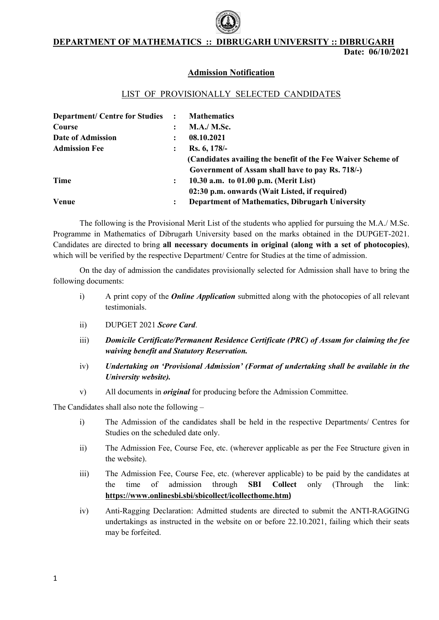#### DEPARTMENT OF MATHEMATICS :: DIBRUGARH UNIVERSITY :: DIBRUGARH

## Admission Notification

#### LIST OF PROVISIONALLY SELECTED CANDIDATES

| <b>Department/Centre for Studies :</b> |                | <b>Mathematics</b>                                           |
|----------------------------------------|----------------|--------------------------------------------------------------|
| Course                                 | ÷              | <b>M.A./ M.Sc.</b>                                           |
| Date of Admission                      | :              | 08.10.2021                                                   |
| <b>Admission Fee</b>                   | :              | Rs. 6, 178/-                                                 |
|                                        |                | (Candidates availing the benefit of the Fee Waiver Scheme of |
|                                        |                | Government of Assam shall have to pay Rs. 718/-)             |
| Time                                   | $\ddot{\cdot}$ | 10.30 a.m. to $01.00$ p.m. (Merit List)                      |
|                                        |                | 02:30 p.m. onwards (Wait Listed, if required)                |
| <b>Venue</b>                           | $\ddot{\cdot}$ | <b>Department of Mathematics, Dibrugarh University</b>       |

The following is the Provisional Merit List of the students who applied for pursuing the M.A./ M.Sc. Programme in Mathematics of Dibrugarh University based on the marks obtained in the DUPGET-2021. Candidates are directed to bring all necessary documents in original (along with a set of photocopies), which will be verified by the respective Department/ Centre for Studies at the time of admission.

On the day of admission the candidates provisionally selected for Admission shall have to bring the following documents:

- i) A print copy of the *Online Application* submitted along with the photocopies of all relevant testimonials.
- ii) DUPGET 2021 Score Card.
- iii) Domicile Certificate/Permanent Residence Certificate (PRC) of Assam for claiming the fee waiving benefit and Statutory Reservation. iii) Domicile Certificate/Permanent Residence Certificate (PRC) of Assam for claiming the fee<br>waiving benefit and Statutory Reservation.<br>iv) Undertaking on 'Provisional Admission' (Format of undertaking shall be available
- University website).
- v) All documents in *original* for producing before the Admission Committee.

The Candidates shall also note the following  $-$ 

- i) The Admission of the candidates shall be held in the respective Departments/ Centres for Studies on the scheduled date only.
- ii) The Admission Fee, Course Fee, etc. (wherever applicable as per the Fee Structure given in the website). iii) The Admission Fee, Course Fee, etc. (wherever applicable) to be paid by the etc. (wherever applicable Structure Fee, tive candidates at
- the time of admission through https://www.onlinesbi.sbi/sbicollect/icollecthome.htm) SBI Collect only (Through the link:
- iv) Anti-Ragging Declaration: Admitted students are directed to submit the ANTI-RAGGING undertakings as instructed in the website on or before 22.10.2021, failing which their seats may be forfeited.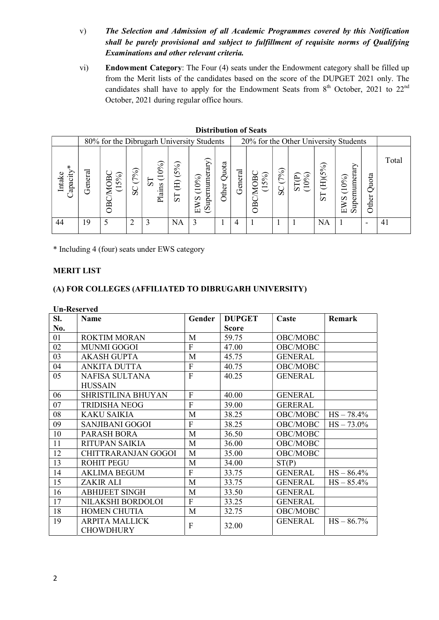- v) The Selection and Admission of all Academic Programmes covered by this Notification shall be purely provisional and subject to fulfillment of requisite norms of Qualifying Examinations and other relevant criteria.
- vi) Endowment Category: The Four (4) seats under the Endowment category shall be filled up from the Merit lists of the candidates based on the score of the DUPGET 2021 only. The candidates shall have to apply for the Endowment Seats from  $8<sup>th</sup>$  October, 2021 to 22<sup>nd</sup> October, 2021 during regular office hours.

| 80% for the Dibrugarh University Students<br>Quota<br>(5%)<br>⋇<br>$\approx$<br>(7%)<br>$\mathcal{S}_{\mathbf{0}}$<br>General<br>ದ<br>$\odot$<br>ρ<br>me<br>5%<br>(10%)<br>ጋΒ<br>ЭB<br>Intak<br>↽<br>$\circ$<br>冝<br>¤<br>$\Omega$<br>apa<br>$\sigma$<br>Plains<br><b>ther</b><br>57<br>$\overline{S}C$<br>ಜ<br>1S<br>8M<br>Ě |                                                                    |                                 |       |  |  |  |  |
|-------------------------------------------------------------------------------------------------------------------------------------------------------------------------------------------------------------------------------------------------------------------------------------------------------------------------------|--------------------------------------------------------------------|---------------------------------|-------|--|--|--|--|
|                                                                                                                                                                                                                                                                                                                               | 20% for the Other University Students                              |                                 |       |  |  |  |  |
|                                                                                                                                                                                                                                                                                                                               | (H)(5%)<br>(10%)<br>⊢<br>S<br>Ō٥<br>Ř<br>€<br>$\bar{\infty}$<br>்ப | Quota<br>ernume<br>Other<br>Sup | Total |  |  |  |  |
| 9<br>44<br>NA<br>4                                                                                                                                                                                                                                                                                                            | NA                                                                 |                                 | 4 I   |  |  |  |  |

Distribution of Seats

\* Including 4 (four) seats under EWS category

#### MERIT LIST

#### (A) FOR COLLEGES (AFFILIATED TO DIBRUGARH UNIVERSITY)

| SI. | <b>Name</b>                               | Gender       | <b>DUPGET</b> | Caste          | Remark        |
|-----|-------------------------------------------|--------------|---------------|----------------|---------------|
| No. |                                           |              | <b>Score</b>  |                |               |
| 01  | <b>ROKTIM MORAN</b>                       | M            | 59.75         | OBC/MOBC       |               |
| 02  | <b>MUNMI GOGOI</b>                        | F            | 47.00         | OBC/MOBC       |               |
| 03  | <b>AKASH GUPTA</b>                        | M            | 45.75         | <b>GENERAL</b> |               |
| 04  | <b>ANKITA DUTTA</b>                       | $\mathbf{F}$ | 40.75         | OBC/MOBC       |               |
| 05  | NAFISA SULTANA                            | $\mathbf{F}$ | 40.25         | <b>GENERAL</b> |               |
|     | <b>HUSSAIN</b>                            |              |               |                |               |
| 06  | <b>SHRISTILINA BHUYAN</b>                 | F            | 40.00         | <b>GENERAL</b> |               |
| 07  | <b>TRIDISHA NEOG</b>                      | $\mathbf F$  | 39.00         | <b>GERERAL</b> |               |
| 08  | <b>KAKU SAIKIA</b>                        | M            | 38.25         | OBC/MOBC       | $HS - 78.4\%$ |
| 09  | <b>SANJIBANI GOGOI</b>                    | F            | 38.25         | OBC/MOBC       | $HS - 73.0\%$ |
| 10  | PARASH BORA                               | M            | 36.50         | OBC/MOBC       |               |
| 11  | <b>RITUPAN SAIKIA</b>                     | M            | 36.00         | OBC/MOBC       |               |
| 12  | <b>CHITTRARANJAN GOGOI</b>                | M            | 35.00         | OBC/MOBC       |               |
| 13  | <b>ROHIT PEGU</b>                         | M            | 34.00         | ST(P)          |               |
| 14  | <b>AKLIMA BEGUM</b>                       | F            | 33.75         | <b>GENERAL</b> | $HS - 86.4\%$ |
| 15  | ZAKIR ALI                                 | M            | 33.75         | <b>GENERAL</b> | $HS - 85.4%$  |
| 16  | <b>ABHIJEET SINGH</b>                     | M            | 33.50         | <b>GENERAL</b> |               |
| 17  | NILAKSHI BORDOLOI                         | $\mathbf{F}$ | 33.25         | <b>GENERAL</b> |               |
| 18  | <b>HOMEN CHUTIA</b>                       | M            | 32.75         | OBC/MOBC       |               |
| 19  | <b>ARPITA MALLICK</b><br><b>CHOWDHURY</b> | F            | 32.00         | <b>GENERAL</b> | $HS - 86.7\%$ |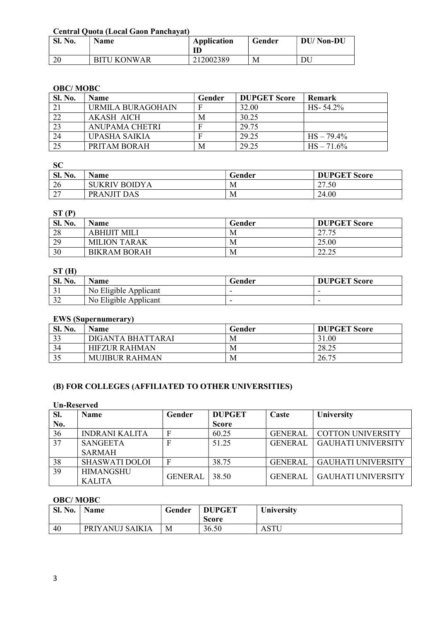#### Central Quota (Local Gaon Panchayat)

| <b>Sl. No.</b> | Name               | <b>Application</b><br>ID | Gender | <b>DU/Non-DU</b> |
|----------------|--------------------|--------------------------|--------|------------------|
| ററ<br>ΖU       | <b>BITU KONWAR</b> | 212002389                | М      | DU               |

#### OBC/ MOBC

| Sl. No. | <b>Name</b>       | Gender | <b>DUPGET Score</b> | <b>Remark</b> |
|---------|-------------------|--------|---------------------|---------------|
| 21      | URMILA BURAGOHAIN |        | 32.00               | $HS - 54.2\%$ |
| 22      | AKASH AICH        | M      | 30.25               |               |
| 23      | ANUPAMA CHETRI    |        | 29.75               |               |
| 24      | UPASHA SAIKIA     |        | 29.25               | $HS - 79.4\%$ |
| 25      | PRITAM BORAH      | M      | 29.25               | $HS - 71.6\%$ |

#### **SC**

| <b>Sl. No.</b> | $ -$<br>Name  | Gender | <b>DUPGET Score</b> |
|----------------|---------------|--------|---------------------|
| 26             | SUKRIV BOIDYA | М      | 27.50               |
| $\sim$<br>∠    | PRANJIT DAS   | M      | 24.00               |

## $ST(P)$

| $-1-$          |                     |        |                     |  |  |
|----------------|---------------------|--------|---------------------|--|--|
| <b>Sl. No.</b> | <b>Name</b>         | Gender | <b>DUPGET Score</b> |  |  |
| 28             | <b>ABHIJIT MILI</b> | M      | 27.75<br>ل ا ما ک   |  |  |
| 29             | <b>MILION TARAK</b> | M      | 25.00               |  |  |
| 30             | <b>BIKRAM BORAH</b> | М      | 22.25<br>ت که و کرک |  |  |

## $ST(H)$

| Sl. No.       | Name                  | Gender | <b>DUPGET Score</b> |
|---------------|-----------------------|--------|---------------------|
| $\sim$<br>ີ - | No Eligible Applicant |        |                     |
| $\mathcal{L}$ | No Eligible Applicant |        | -                   |

## EWS (Supernumerary)

| <b>Sl. No.</b> | <b>Name</b>           | Gender | <b>DUPGET Score</b> |
|----------------|-----------------------|--------|---------------------|
| 33             | DIGANTA BHATTARAI     | M      | 31.00               |
| 34             | <b>HIFZUR RAHMAN</b>  | М      | 28.25               |
| ت ب            | <b>MUJIBUR RAHMAN</b> | М      | 26.75               |

# (B) FOR COLLEGES (AFFILIATED TO OTHER UNIVERSITIES)

#### Un-Reserved

| SI. | <b>Name</b>           | Gender         | <b>DUPGET</b> | Caste          | University                |
|-----|-----------------------|----------------|---------------|----------------|---------------------------|
| No. |                       |                | <b>Score</b>  |                |                           |
| 36  | <b>INDRANI KALITA</b> | $\mathbf F$    | 60.25         | <b>GENERAL</b> | <b>COTTON UNIVERSITY</b>  |
| 37  | <b>SANGEETA</b>       | F              | 51.25         | <b>GENERAL</b> | <b>GAUHATI UNIVERSITY</b> |
|     | <b>SARMAH</b>         |                |               |                |                           |
| 38  | <b>SHASWATI DOLOI</b> | F              | 38.75         | <b>GENERAL</b> | <b>GAUHATI UNIVERSITY</b> |
| 39  | <b>HIMANGSHU</b>      | <b>GENERAL</b> | 38.50         | <b>GENERAL</b> | <b>GAUHATI UNIVERSITY</b> |
|     | <b>KALITA</b>         |                |               |                |                           |

# OBC/ MOBC

| Sl. No. | Name            | Gender | <b>DUPGET</b><br><b>Score</b> | <b>University</b> |
|---------|-----------------|--------|-------------------------------|-------------------|
| 40      | PRIYANUJ SAIKIA | М      | 36.50                         | ASTU              |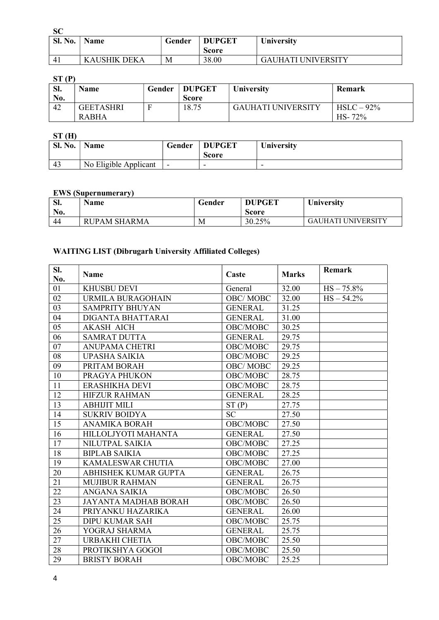| ۰.<br>v | ×<br>., | ٧<br>v |
|---------|---------|--------|

| Sl. No. | Name         | Gender | <b>DUPGET</b><br>Score | University                |
|---------|--------------|--------|------------------------|---------------------------|
| 4       | KAUSHIK DEKA | М      | 38.00                  | <b>GAUHATI UNIVERSITY</b> |

# ST (P)

| 511<br>SI.<br>No. | Name                             | Gender | <b>DUPGET</b><br><b>Score</b> | University                | Remark                     |
|-------------------|----------------------------------|--------|-------------------------------|---------------------------|----------------------------|
| 42                | <b>GEETASHRI</b><br><b>RABHA</b> |        | 18.75                         | <b>GAUHATI UNIVERSITY</b> | $HSLC - 92%$<br>$HS - 72%$ |

# $ST(H)$

| SI. No. | <b>Name</b>           | Gender                   | <b>DUPGET</b><br><b>Score</b> | <b>University</b> |
|---------|-----------------------|--------------------------|-------------------------------|-------------------|
| 43      | No Eligible Applicant | $\overline{\phantom{0}}$ | -                             |                   |

# EWS (Supernumerary)

| SI.<br>No. | Name              | Gender | <b>DUPGET</b><br><b>Score</b> | <b>University</b>       |
|------------|-------------------|--------|-------------------------------|-------------------------|
| 44         | JPAM SHARMA<br>RL | M      | 30.25%                        | UHATI UNIVERSITY<br>GAI |

# WAITING LIST (Dibrugarh University Affiliated Colleges)

| SI.<br>No. | <b>Name</b>                 | Caste           | <b>Marks</b> | Remark        |
|------------|-----------------------------|-----------------|--------------|---------------|
| 01         | <b>KHUSBU DEVI</b>          | General         | 32.00        | $HS - 75.8\%$ |
| 02         | <b>URMILA BURAGOHAIN</b>    | <b>OBC/MOBC</b> | 32.00        | $HS - 54.2\%$ |
| 03         | <b>SAMPRITY BHUYAN</b>      | <b>GENERAL</b>  | 31.25        |               |
| 04         | DIGANTA BHATTARAI           | <b>GENERAL</b>  | 31.00        |               |
| 05         | <b>AKASH AICH</b>           | OBC/MOBC        | 30.25        |               |
| 06         | <b>SAMRAT DUTTA</b>         | <b>GENERAL</b>  | 29.75        |               |
| 07         | <b>ANUPAMA CHETRI</b>       | OBC/MOBC        | 29.75        |               |
| 08         | <b>UPASHA SAIKIA</b>        | OBC/MOBC        | 29.25        |               |
| 09         | PRITAM BORAH                | <b>OBC/MOBC</b> | 29.25        |               |
| 10         | PRAGYA PHUKON               | OBC/MOBC        | 28.75        |               |
| 11         | <b>ERASHIKHA DEVI</b>       | OBC/MOBC        | 28.75        |               |
| 12         | <b>HIFZUR RAHMAN</b>        | <b>GENERAL</b>  | 28.25        |               |
| 13         | <b>ABHIJIT MILI</b>         | ST(P)           | 27.75        |               |
| 14         | <b>SUKRIV BOIDYA</b>        | <b>SC</b>       | 27.50        |               |
| 15         | <b>ANAMIKA BORAH</b>        | OBC/MOBC        | 27.50        |               |
| 16         | HILLOLJYOTI MAHANTA         | <b>GENERAL</b>  | 27.50        |               |
| 17         | <b>NILUTPAL SAIKIA</b>      | OBC/MOBC        | 27.25        |               |
| 18         | <b>BIPLAB SAIKIA</b>        | OBC/MOBC        | 27.25        |               |
| 19         | KAMALESWAR CHUTIA           | OBC/MOBC        | 27.00        |               |
| 20         | <b>ABHISHEK KUMAR GUPTA</b> | <b>GENERAL</b>  | 26.75        |               |
| 21         | <b>MUJIBUR RAHMAN</b>       | <b>GENERAL</b>  | 26.75        |               |
| 22         | ANGANA SAIKIA               | OBC/MOBC        | 26.50        |               |
| 23         | <b>JAYANTA MADHAB BORAH</b> | OBC/MOBC        | 26.50        |               |
| 24         | PRIYANKU HAZARIKA           | <b>GENERAL</b>  | 26.00        |               |
| 25         | <b>DIPU KUMAR SAH</b>       | OBC/MOBC        | 25.75        |               |
| 26         | YOGRAJ SHARMA               | <b>GENERAL</b>  | 25.75        |               |
| 27         | URBAKHI CHETIA              | OBC/MOBC        | 25.50        |               |
| 28         | PROTIKSHYA GOGOI            | OBC/MOBC        | 25.50        |               |
| 29         | <b>BRISTY BORAH</b>         | OBC/MOBC        | 25.25        |               |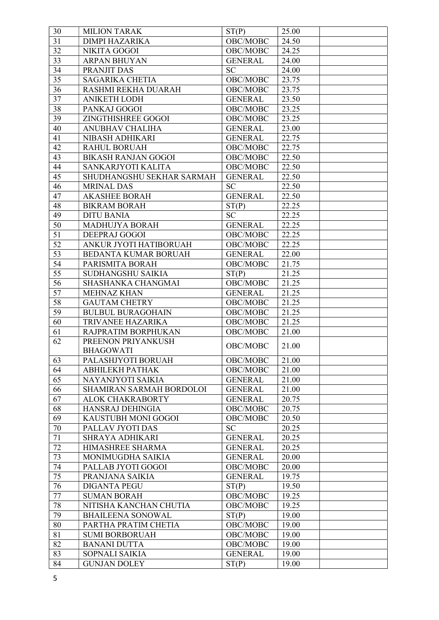| 30     | <b>MILION TARAK</b>        | ST(P)               | 25.00 |  |
|--------|----------------------------|---------------------|-------|--|
| 31     | <b>DIMPI HAZARIKA</b>      | OBC/MOBC            | 24.50 |  |
| 32     | <b>NIKITA GOGOI</b>        | OBC/MOBC            | 24.25 |  |
| 33     | <b>ARPAN BHUYAN</b>        | <b>GENERAL</b>      | 24.00 |  |
| 34     | PRANJIT DAS                | <b>SC</b>           | 24.00 |  |
| 35     | <b>SAGARIKA CHETIA</b>     | OBC/MOBC            | 23.75 |  |
| 36     | RASHMI REKHA DUARAH        | OBC/MOBC            | 23.75 |  |
| 37     | <b>ANIKETH LODH</b>        | <b>GENERAL</b>      | 23.50 |  |
| 38     | PANKAJ GOGOI               | OBC/MOBC            | 23.25 |  |
| 39     | ZINGTHISHREE GOGOI         | OBC/MOBC            | 23.25 |  |
| 40     | ANUBHAV CHALIHA            | <b>GENERAL</b>      | 23.00 |  |
| 41     | NIBASH ADHIKARI            | <b>GENERAL</b>      | 22.75 |  |
| 42     | <b>RAHUL BORUAH</b>        | OBC/MOBC            | 22.75 |  |
| 43     | <b>BIKASH RANJAN GOGOI</b> | OBC/MOBC            | 22.50 |  |
| 44     | SANKARJYOTI KALITA         | OBC/MOBC            | 22.50 |  |
| 45     | SHUDHANGSHU SEKHAR SARMAH  | <b>GENERAL</b>      | 22.50 |  |
| 46     | <b>MRINAL DAS</b>          | <b>SC</b>           | 22.50 |  |
| 47     | <b>AKASHEE BORAH</b>       | <b>GENERAL</b>      | 22.50 |  |
| 48     | <b>BIKRAM BORAH</b>        | ST(P)               | 22.25 |  |
| 49     | <b>DITU BANIA</b>          | <b>SC</b>           | 22.25 |  |
| 50     | <b>MADHUJYA BORAH</b>      | <b>GENERAL</b>      | 22.25 |  |
| 51     | <b>DEEPRAJ GOGOI</b>       | OBC/MOBC            | 22.25 |  |
| 52     | ANKUR JYOTI HATIBORUAH     | OBC/MOBC            | 22.25 |  |
| 53     | BEDANTA KUMAR BORUAH       | <b>GENERAL</b>      | 22.00 |  |
| 54     | PARISMITA BORAH            | OBC/MOBC            | 21.75 |  |
| 55     | SUDHANGSHU SAIKIA          | ST(P)               | 21.25 |  |
| 56     | SHASHANKA CHANGMAI         | OBC/MOBC            | 21.25 |  |
| 57     | <b>MEHNAZ KHAN</b>         | <b>GENERAL</b>      | 21.25 |  |
| 58     | <b>GAUTAM CHETRY</b>       | OBC/MOBC            | 21.25 |  |
| 59     | <b>BULBUL BURAGOHAIN</b>   | OBC/MOBC            | 21.25 |  |
| 60     | TRIVANEE HAZARIKA          | OBC/MOBC            | 21.25 |  |
| 61     | RAJPRATIM BORPHUKAN        | OBC/MOBC            | 21.00 |  |
| 62     | PREENON PRIYANKUSH         |                     |       |  |
|        | <b>BHAGOWATI</b>           | OBC/MOBC            | 21.00 |  |
| 63     | PALASHJYOTI BORUAH         | OBC/MOBC            | 21.00 |  |
| 64     | АВНІLЕКН РАТНАК            | OBC/MOBC            | 21.00 |  |
| 65     | NAYANJYOTI SAIKIA          | <b>GENERAL</b>      | 21.00 |  |
| 66     | SHAMIRAN SARMAH BORDOLOI   | <b>GENERAL</b>      | 21.00 |  |
| 67     | <b>ALOK CHAKRABORTY</b>    | <b>GENERAL</b>      | 20.75 |  |
| 68     | HANSRAJ DEHINGIA           | OBC/MOBC            | 20.75 |  |
| 69     | KAUSTUBH MONI GOGOI        | OBC/MOBC            | 20.50 |  |
| $70\,$ | PALLAV JYOTI DAS           | <b>SC</b>           | 20.25 |  |
| 71     | SHRAYA ADHIKARI            | <b>GENERAL</b>      | 20.25 |  |
| 72     | HIMASHREE SHARMA           | <b>GENERAL</b>      | 20.25 |  |
| 73     | MONIMUGDHA SAIKIA          | <b>GENERAL</b>      | 20.00 |  |
| 74     | PALLAB JYOTI GOGOI         | OBC/MOBC            | 20.00 |  |
| 75     | PRANJANA SAIKIA            | <b>GENERAL</b>      | 19.75 |  |
| 76     | <b>DIGANTA PEGU</b>        | ST(P)               | 19.50 |  |
| 77     | <b>SUMAN BORAH</b>         | OBC/MOBC            | 19.25 |  |
| 78     | NITISHA KANCHAN CHUTIA     | $\mathrm{OBC/MOBC}$ | 19.25 |  |
| 79     | <b>BHAILEENA SONOWAL</b>   | ST(P)               | 19.00 |  |
| 80     | PARTHA PRATIM CHETIA       | OBC/MOBC            | 19.00 |  |
| 81     | <b>SUMI BORBORUAH</b>      | OBC/MOBC            | 19.00 |  |
| 82     | <b>BANANI DUTTA</b>        | OBC/MOBC            | 19.00 |  |
| 83     | SOPNALI SAIKIA             | <b>GENERAL</b>      | 19.00 |  |
| 84     | <b>GUNJAN DOLEY</b>        | ST(P)               | 19.00 |  |
|        |                            |                     |       |  |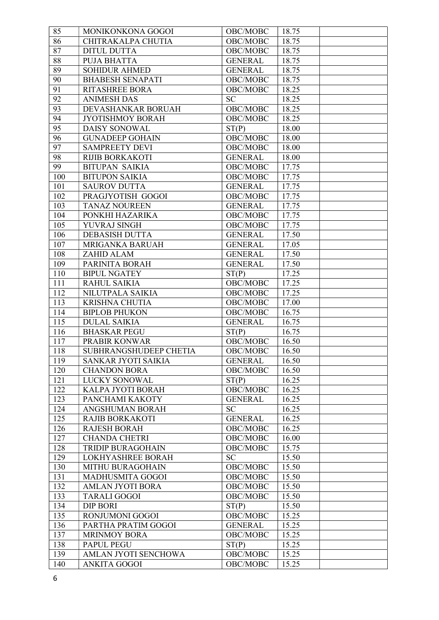| 85              | MONIKONKONA GOGOI        | OBC/MOBC       | 18.75 |
|-----------------|--------------------------|----------------|-------|
| 86              | CHITRAKALPA CHUTIA       | OBC/MOBC       | 18.75 |
| 87              | <b>DITUL DUTTA</b>       | OBC/MOBC       | 18.75 |
| 88              | PUJA BHATTA              | <b>GENERAL</b> | 18.75 |
| 89              | <b>SOHIDUR AHMED</b>     | <b>GENERAL</b> | 18.75 |
| 90              | <b>BHABESH SENAPATI</b>  | OBC/MOBC       | 18.75 |
| 91              | <b>RITASHREE BORA</b>    | OBC/MOBC       | 18.25 |
| 92              | <b>ANIMESH DAS</b>       | <b>SC</b>      | 18.25 |
| 93              | DEVASHANKAR BORUAH       | OBC/MOBC       | 18.25 |
| 94              | <b>JYOTISHMOY BORAH</b>  | OBC/MOBC       | 18.25 |
| $\overline{95}$ | DAISY SONOWAL            | ST(P)          | 18.00 |
| 96              | <b>GUNADEEP GOHAIN</b>   | OBC/MOBC       | 18.00 |
| 97              | <b>SAMPREETY DEVI</b>    | OBC/MOBC       | 18.00 |
| 98              | <b>RIJIB BORKAKOTI</b>   | <b>GENERAL</b> | 18.00 |
| 99              | <b>BITUPAN SAIKIA</b>    | OBC/MOBC       | 17.75 |
| 100             | <b>BITUPON SAIKIA</b>    | OBC/MOBC       | 17.75 |
| 101             | <b>SAUROV DUTTA</b>      | <b>GENERAL</b> | 17.75 |
| 102             | PRAGJYOTISH GOGOI        | OBC/MOBC       | 17.75 |
| 103             | <b>TANAZ NOUREEN</b>     | <b>GENERAL</b> | 17.75 |
| 104             | PONKHI HAZARIKA          | OBC/MOBC       | 17.75 |
| 105             | YUVRAJ SINGH             | OBC/MOBC       | 17.75 |
| 106             | <b>DEBASISH DUTTA</b>    | <b>GENERAL</b> | 17.50 |
| 107             | MRIGANKA BARUAH          | <b>GENERAL</b> | 17.05 |
| 108             | ZAHID ALAM               | <b>GENERAL</b> | 17.50 |
| 109             | PARINITA BORAH           | <b>GENERAL</b> | 17.50 |
| 110             | <b>BIPUL NGATEY</b>      | ST(P)          | 17.25 |
| 111             | <b>RAHUL SAIKIA</b>      | OBC/MOBC       | 17.25 |
| 112             | NILUTPALA SAIKIA         | OBC/MOBC       | 17.25 |
| 113             | <b>KRISHNA CHUTIA</b>    | OBC/MOBC       | 17.00 |
| 114             | <b>BIPLOB PHUKON</b>     | OBC/MOBC       | 16.75 |
| 115             | <b>DULAL SAIKIA</b>      | <b>GENERAL</b> | 16.75 |
| 116             | <b>BHASKAR PEGU</b>      | ST(P)          | 16.75 |
| 117             | <b>PRABIR KONWAR</b>     | OBC/MOBC       | 16.50 |
| 118             | SUBHRANGSHUDEEP CHETIA   | OBC/MOBC       | 16.50 |
| 119             | SANKAR JYOTI SAIKIA      | <b>GENERAL</b> | 16.50 |
| 120             | <b>CHANDON BORA</b>      | OBC/MOBC       | 16.50 |
| 121             | <b>LUCKY SONOWAL</b>     | ST(P)          | 16.25 |
| 122             | KALPA JYOTI BORAH        | OBC/MOBC       | 16.25 |
| 123             | PANCHAMI KAKOTY          | <b>GENERAL</b> | 16.25 |
| 124             | ANGSHUMAN BORAH          | <b>SC</b>      | 16.25 |
| 125             | <b>RAJIB BORKAKOTI</b>   | <b>GENERAL</b> | 16.25 |
| 126             | <b>RAJESH BORAH</b>      | OBC/MOBC       | 16.25 |
| 127             | <b>CHANDA CHETRI</b>     | OBC/MOBC       | 16.00 |
| 128             | <b>TRIDIP BURAGOHAIN</b> | OBC/MOBC       | 15.75 |
| 129             | LOKHYASHREE BORAH        | <b>SC</b>      | 15.50 |
| 130             | MITHU BURAGOHAIN         | OBC/MOBC       | 15.50 |
| 131             | MADHUSMITA GOGOI         | OBC/MOBC       | 15.50 |
| 132             | <b>AMLAN JYOTI BORA</b>  | OBC/MOBC       | 15.50 |
| 133             | <b>TARALI GOGOI</b>      | OBC/MOBC       | 15.50 |
| 134             | <b>DIP BORI</b>          | ST(P)          | 15.50 |
| 135             | RONJUMONI GOGOI          | OBC/MOBC       | 15.25 |
| 136             | PARTHA PRATIM GOGOI      | <b>GENERAL</b> | 15.25 |
| 137             | <b>MRINMOY BORA</b>      | OBC/MOBC       | 15.25 |
| 138             | PAPUL PEGU               | ST(P)          | 15.25 |
| 139             | AMLAN JYOTI SENCHOWA     | OBC/MOBC       | 15.25 |
| 140             | <b>ANKITA GOGOI</b>      | OBC/MOBC       | 15.25 |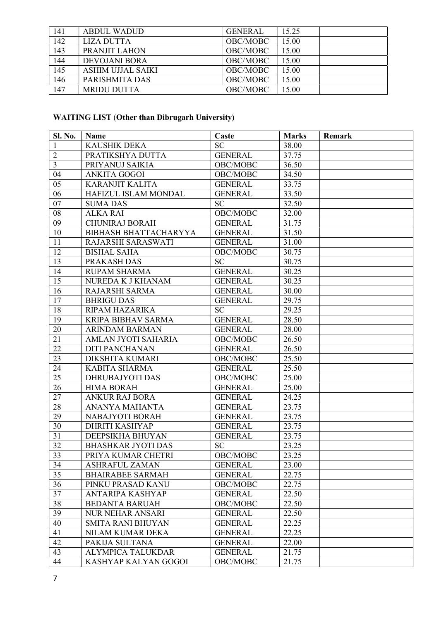| 141 | ABDUL WADUD          | <b>GENERAL</b> | 15.25 |  |
|-----|----------------------|----------------|-------|--|
| 142 | <b>LIZA DUTTA</b>    | OBC/MOBC       | 15.00 |  |
| 143 | PRANJIT LAHON        | OBC/MOBC       | 15.00 |  |
| 144 | <b>DEVOJANI BORA</b> | OBC/MOBC       | 5.00  |  |
| 145 | ASHIM UJJAL SAIKI    | OBC/MOBC       | 5.00  |  |
| 146 | PARISHMITA DAS       | OBC/MOBC       | 15.00 |  |
| 147 | <b>MRIDU DUTTA</b>   | OBC/MOBC       | 5.00  |  |

# WAITING LIST (Other than Dibrugarh University)

| <b>Sl. No.</b>  | Name                         | Caste          | <b>Marks</b> | Remark |
|-----------------|------------------------------|----------------|--------------|--------|
| 1               | <b>KAUSHIK DEKA</b>          | <b>SC</b>      | 38.00        |        |
| $\overline{2}$  | PRATIKSHYA DUTTA             | <b>GENERAL</b> | 37.75        |        |
| $\overline{3}$  | PRIYANUJ SAIKIA              | OBC/MOBC       | 36.50        |        |
| 04              | <b>ANKITA GOGOI</b>          | OBC/MOBC       | 34.50        |        |
| 05              | <b>KARANJIT KALITA</b>       | <b>GENERAL</b> | 33.75        |        |
| 06              | HAFIZUL ISLAM MONDAL         | <b>GENERAL</b> | 33.50        |        |
| 07              | <b>SUMA DAS</b>              | <b>SC</b>      | 32.50        |        |
| 08              | <b>ALKA RAI</b>              | OBC/MOBC       | 32.00        |        |
| 09              | <b>CHUNIRAJ BORAH</b>        | <b>GENERAL</b> | 31.75        |        |
| 10              | <b>BIBHASH BHATTACHARYYA</b> | <b>GENERAL</b> | 31.50        |        |
| 11              | RAJARSHI SARASWATI           | <b>GENERAL</b> | 31.00        |        |
| 12              | <b>BISHAL SAHA</b>           | OBC/MOBC       | 30.75        |        |
| $1\overline{3}$ | PRAKASH DAS                  | SC             | 30.75        |        |
| 14              | <b>RUPAM SHARMA</b>          | <b>GENERAL</b> | 30.25        |        |
| 15              | NUREDA K J KHANAM            | <b>GENERAL</b> | 30.25        |        |
| 16              | RAJARSHI SARMA               | <b>GENERAL</b> | 30.00        |        |
| 17              | <b>BHRIGU DAS</b>            | <b>GENERAL</b> | 29.75        |        |
| 18              | RIPAM HAZARIKA               | <b>SC</b>      | 29.25        |        |
| 19              | <b>KRIPA BIBHAV SARMA</b>    | <b>GENERAL</b> | 28.50        |        |
| 20              | <b>ARINDAM BARMAN</b>        | <b>GENERAL</b> | 28.00        |        |
| 21              | AMLAN JYOTI SAHARIA          | OBC/MOBC       | 26.50        |        |
| 22              | <b>DITI PANCHANAN</b>        | <b>GENERAL</b> | 26.50        |        |
| 23              | <b>DIKSHITA KUMARI</b>       | OBC/MOBC       | 25.50        |        |
| 24              | <b>KABITA SHARMA</b>         | <b>GENERAL</b> | 25.50        |        |
| 25              | <b>DHRUBAJYOTI DAS</b>       | OBC/MOBC       | 25.00        |        |
| 26              | <b>HIMA BORAH</b>            | <b>GENERAL</b> | 25.00        |        |
| 27              | <b>ANKUR RAJ BORA</b>        | <b>GENERAL</b> | 24.25        |        |
| 28              | ANANYA MAHANTA               | <b>GENERAL</b> | 23.75        |        |
| 29              | NABAJYOTI BORAH              | <b>GENERAL</b> | 23.75        |        |
| 30              | DHRITI KASHYAP               | <b>GENERAL</b> | 23.75        |        |
| 31              | DEEPSIKHA BHUYAN             | <b>GENERAL</b> | 23.75        |        |
| 32              | <b>BHASHKAR JYOTI DAS</b>    | <b>SC</b>      | 23.25        |        |
| 33              | PRIYA KUMAR CHETRI           | OBC/MOBC       | 23.25        |        |
| 34              | <b>ASHRAFUL ZAMAN</b>        | <b>GENERAL</b> | 23.00        |        |
| 35              | <b>BHAIRABEE SARMAH</b>      | <b>GENERAL</b> | 22.75        |        |
| 36              | PINKU PRASAD KANU            | OBC/MOBC       | 22.75        |        |
| 37              | ANTARIPA KASHYAP             | <b>GENERAL</b> | 22.50        |        |
| 38              | <b>BEDANTA BARUAH</b>        | OBC/MOBC       | 22.50        |        |
| 39              | <b>NUR NEHAR ANSARI</b>      | <b>GENERAL</b> | 22.50        |        |
| 40              | <b>SMITA RANI BHUYAN</b>     | <b>GENERAL</b> | 22.25        |        |
| 41              | NILAM KUMAR DEKA             | <b>GENERAL</b> | 22.25        |        |
| 42              | PAKIJA SULTANA               | <b>GENERAL</b> | 22.00        |        |
| 43              | <b>ALYMPICA TALUKDAR</b>     | <b>GENERAL</b> | 21.75        |        |
| 44              | KASHYAP KALYAN GOGOI         | OBC/MOBC       | 21.75        |        |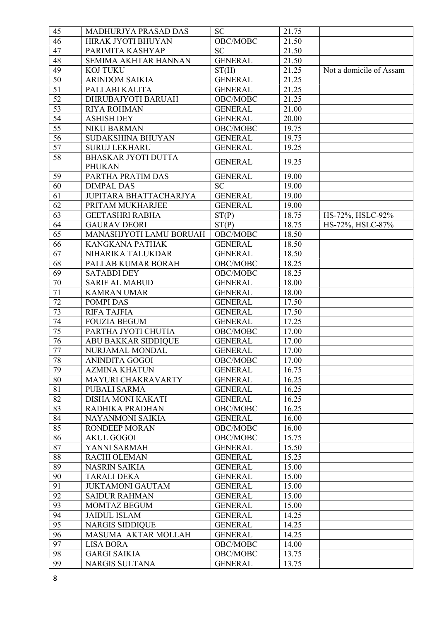| 45              | MADHURJYA PRASAD DAS       | <b>SC</b>      | 21.75 |                         |
|-----------------|----------------------------|----------------|-------|-------------------------|
| 46              | HIRAK JYOTI BHUYAN         | OBC/MOBC       | 21.50 |                         |
| 47              | PARIMITA KASHYAP           | <b>SC</b>      | 21.50 |                         |
| 48              | SEMIMA AKHTAR HANNAN       | <b>GENERAL</b> | 21.50 |                         |
| 49              | <b>KOJ TUKU</b>            | ST(H)          | 21.25 | Not a domicile of Assam |
| 50              | <b>ARINDOM SAIKIA</b>      | <b>GENERAL</b> | 21.25 |                         |
| 51              | PALLABI KALITA             | <b>GENERAL</b> | 21.25 |                         |
| 52              | DHRUBAJYOTI BARUAH         | OBC/MOBC       | 21.25 |                         |
| 53              | <b>RIYA ROHMAN</b>         | <b>GENERAL</b> | 21.00 |                         |
| 54              | <b>ASHISH DEY</b>          | <b>GENERAL</b> | 20.00 |                         |
| $\overline{55}$ | <b>NIKU BARMAN</b>         | OBC/MOBC       | 19.75 |                         |
| $\overline{56}$ | SUDAKSHINA BHUYAN          | <b>GENERAL</b> | 19.75 |                         |
| 57              | <b>SURUJ LEKHARU</b>       | <b>GENERAL</b> | 19.25 |                         |
| 58              | <b>BHASKAR JYOTI DUTTA</b> |                |       |                         |
|                 | <b>PHUKAN</b>              | <b>GENERAL</b> | 19.25 |                         |
| 59              | PARTHA PRATIM DAS          | <b>GENERAL</b> | 19.00 |                         |
| 60              | <b>DIMPAL DAS</b>          | <b>SC</b>      | 19.00 |                         |
| 61              | JUPITARA BHATTACHARJYA     | <b>GENERAL</b> | 19.00 |                         |
| 62              | PRITAM MUKHARJEE           | <b>GENERAL</b> | 19.00 |                         |
| $\overline{63}$ | <b>GEETASHRI RABHA</b>     | ST(P)          | 18.75 | HS-72%, HSLC-92%        |
| 64              | <b>GAURAV DEORI</b>        | ST(P)          | 18.75 | HS-72%, HSLC-87%        |
| 65              | MANASHJYOTI LAMU BORUAH    | OBC/MOBC       | 18.50 |                         |
| 66              | <b>KANGKANA PATHAK</b>     | <b>GENERAL</b> | 18.50 |                         |
| 67              | NIHARIKA TALUKDAR          | <b>GENERAL</b> | 18.50 |                         |
| 68              | PALLAB KUMAR BORAH         | OBC/MOBC       | 18.25 |                         |
| 69              | <b>SATABDI DEY</b>         | OBC/MOBC       | 18.25 |                         |
| 70              | <b>SARIF AL MABUD</b>      | <b>GENERAL</b> | 18.00 |                         |
| 71              |                            | <b>GENERAL</b> |       |                         |
| 72              | <b>KAMRAN UMAR</b>         |                | 18.00 |                         |
|                 | POMPI DAS                  | <b>GENERAL</b> | 17.50 |                         |
| 73              | <b>RIFA TAJFIA</b>         | <b>GENERAL</b> | 17.50 |                         |
| 74              | <b>FOUZIA BEGUM</b>        | <b>GENERAL</b> | 17.25 |                         |
| 75              | PARTHA JYOTI CHUTIA        | OBC/MOBC       | 17.00 |                         |
| 76              | <b>ABU BAKKAR SIDDIQUE</b> | <b>GENERAL</b> | 17.00 |                         |
| 77              | NURJAMAL MONDAL            | <b>GENERAL</b> | 17.00 |                         |
| 78              | ANINDITA GOGOI             | OBC/MOBC       | 17.00 |                         |
| 79              | <b>AZMINA KHATUN</b>       | <b>GENERAL</b> | 16.75 |                         |
| 80              | MAYURI CHAKRAVARTY         | <b>GENERAL</b> | 16.25 |                         |
| 81              | <b>PUBALI SARMA</b>        | <b>GENERAL</b> | 16.25 |                         |
| 82              | DISHA MONI KAKATI          | <b>GENERAL</b> | 16.25 |                         |
| 83              | RADHIKA PRADHAN            | OBC/MOBC       | 16.25 |                         |
| 84              | NAYANMONI SAIKIA           | <b>GENERAL</b> | 16.00 |                         |
| 85              | <b>RONDEEP MORAN</b>       | OBC/MOBC       | 16.00 |                         |
| 86              | <b>AKUL GOGOI</b>          | OBC/MOBC       | 15.75 |                         |
| 87              | YANNI SARMAH               | <b>GENERAL</b> | 15.50 |                         |
| 88              | <b>RACHI OLEMAN</b>        | <b>GENERAL</b> | 15.25 |                         |
| 89              | <b>NASRIN SAIKIA</b>       | <b>GENERAL</b> | 15.00 |                         |
| 90              | <b>TARALI DEKA</b>         | <b>GENERAL</b> | 15.00 |                         |
| 91              | <b>JUKTAMONI GAUTAM</b>    | <b>GENERAL</b> | 15.00 |                         |
| 92              | <b>SAIDUR RAHMAN</b>       | <b>GENERAL</b> | 15.00 |                         |
| 93              | MOMTAZ BEGUM               | <b>GENERAL</b> | 15.00 |                         |
| 94              | <b>JAIDUL ISLAM</b>        | <b>GENERAL</b> | 14.25 |                         |
| 95              | <b>NARGIS SIDDIQUE</b>     | <b>GENERAL</b> | 14.25 |                         |
| 96              | MASUMA AKTAR MOLLAH        | <b>GENERAL</b> | 14.25 |                         |
| 97              | <b>LISA BORA</b>           | OBC/MOBC       | 14.00 |                         |
| 98              | <b>GARGI SAIKIA</b>        | OBC/MOBC       | 13.75 |                         |
| 99              | <b>NARGIS SULTANA</b>      | <b>GENERAL</b> | 13.75 |                         |